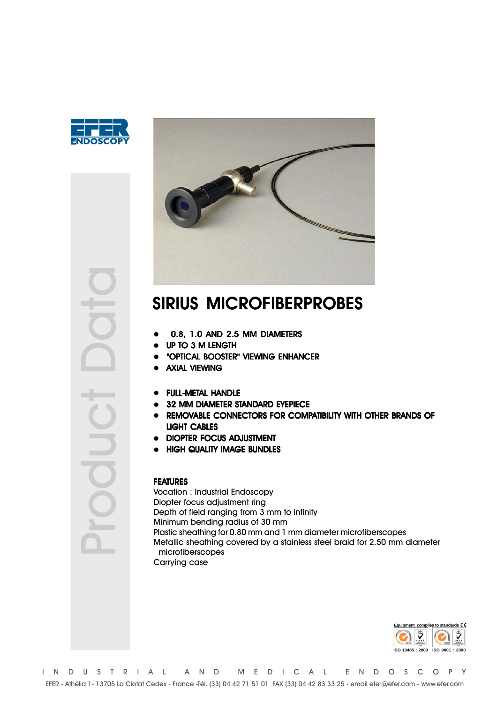



# SIRIUS MICROFIBERPROBES

- 0.8, 1.0 AND 2.5 MM DIAMETERS
- UP TO 3 M LENGTH
- "OPTICAL BOOSTER" VIEWING ENHANCER
- AXIAL VIEWING
- FULL-METAL HANDLE
- 32 MM DIAMETER STANDARD EYEPIECE
- REMOVABLE CONNECTORS FOR COMPATIBILITY WITH OTHER BRANDS OF LIGHT CABLES
- DIOPTER FOCUS ADJUSTMENT
- HIGH QUALITY IMAGE BUNDLES

#### FEATURES

Vocation : Industrial Endoscopy Diopter focus adjustment ring Depth of field ranging from 3 mm to infinity Minimum bending radius of 30 mm Plastic sheathing for 0.80 mm and 1 mm diameter microfiberscopes Metallic sheathing covered by a stainless steel braid for 2.50 mm diameter microfiberscopes Carrying case



Product Data